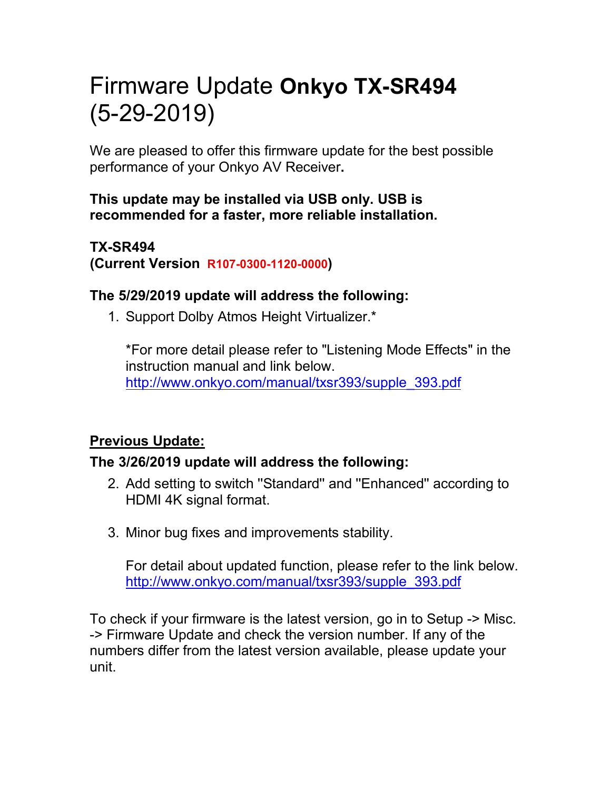# Firmware Update **Onkyo TX-SR494** (5-29-2019)

We are pleased to offer this firmware update for the best possible performance of your Onkyo AV Receiver**.**

#### **This update may be installed via USB only. USB is recommended for a faster, more reliable installation.**

#### **TX-SR494 (Current Version R107-0300-1120-0000)**

### **The 5/29/2019 update will address the following:**

1. Support Dolby Atmos Height Virtualizer.\*

\*For more detail please refer to "Listening Mode Effects" in the instruction manual and link below. [http://www.onkyo.com/manual/txsr393/supple\\_393.pdf](http://www.onkyo.com/manual/txsr393/supple_393.pdf)

## **Previous Update:**

## **The 3/26/2019 update will address the following:**

- 2. Add setting to switch ''Standard'' and ''Enhanced'' according to HDMI 4K signal format.
- 3. Minor bug fixes and improvements stability.

For detail about updated function, please refer to the link below. [http://www.onkyo.com/manual/txsr393/supple\\_393.pdf](http://www.onkyo.com/manual/txsr393/supple_393.pdf)

To check if your firmware is the latest version, go in to Setup -> Misc. -> Firmware Update and check the version number. If any of the numbers differ from the latest version available, please update your unit.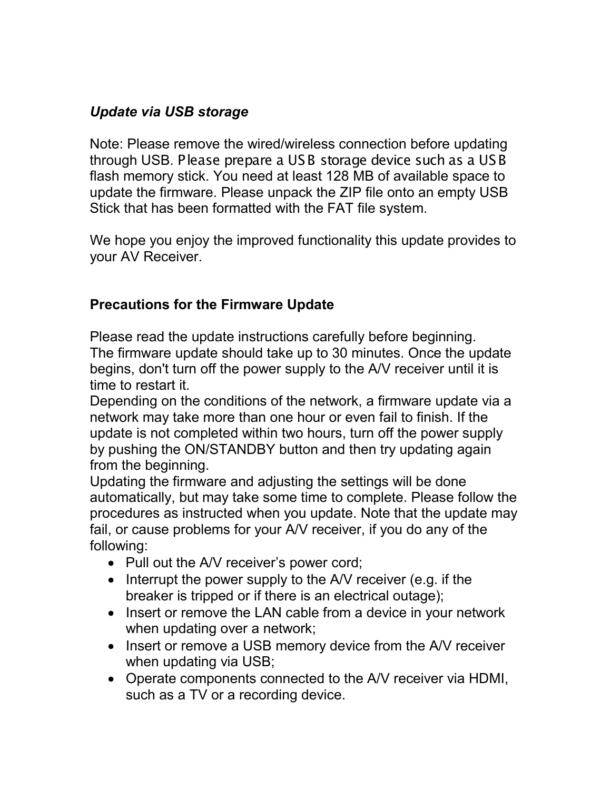# *Update via USB storage*

Note: Please remove the wired/wireless connection before updating through USB. Please prepare a USB storage device such as a USB flash memory stick. You need at least 128 MB of available space to update the firmware. Please unpack the ZIP file onto an empty USB Stick that has been formatted with the FAT file system.

We hope you enjoy the improved functionality this update provides to your AV Receiver.

#### **Precautions for the Firmware Update**

Please read the update instructions carefully before beginning. The firmware update should take up to 30 minutes. Once the update begins, don't turn off the power supply to the A/V receiver until it is time to restart it.

Depending on the conditions of the network, a firmware update via a network may take more than one hour or even fail to finish. If the update is not completed within two hours, turn off the power supply by pushing the ON/STANDBY button and then try updating again from the beginning.

Updating the firmware and adjusting the settings will be done automatically, but may take some time to complete. Please follow the procedures as instructed when you update. Note that the update may fail, or cause problems for your A/V receiver, if you do any of the following:

- Pull out the A/V receiver's power cord;
- Interrupt the power supply to the A/V receiver (e.g. if the breaker is tripped or if there is an electrical outage);
- Insert or remove the LAN cable from a device in your network when updating over a network;
- Insert or remove a USB memory device from the A/V receiver when updating via USB;
- Operate components connected to the A/V receiver via HDMI, such as a TV or a recording device.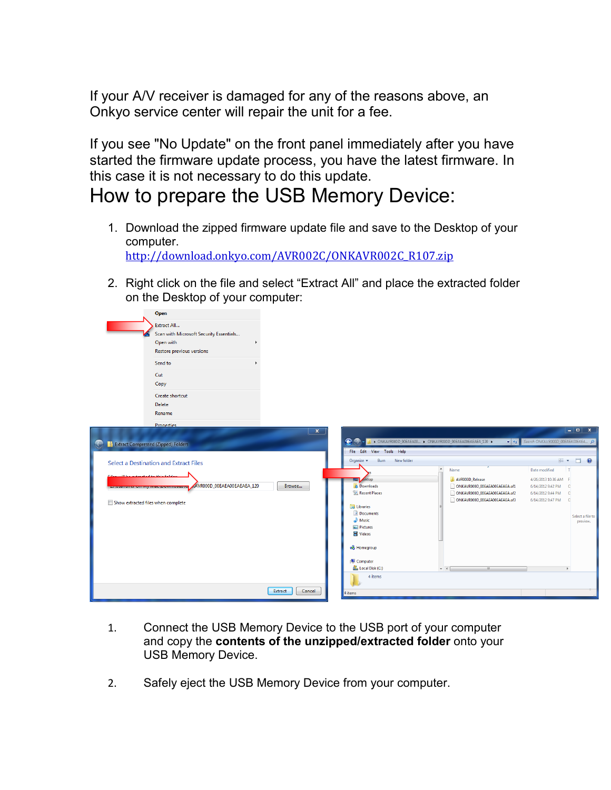If your A/V receiver is damaged for any of the reasons above, an Onkyo service center will repair the unit for a fee.

If you see "No Update" on the front panel immediately after you have started the firmware update process, you have the latest firmware. In this case it is not necessary to do this update.

# How to prepare the USB Memory Device:

 $OneD$ 

- 1. Download the zipped firmware update file and save to the Desktop of your computer. [http://download.onkyo.com/AVR002C/ONKAVR002C\\_R107.zip](http://download.onkyo.com/AVR002C/ONKAVR002C_R107.zip)
- 2. Right click on the file and select "Extract All" and place the extracted folder on the Desktop of your computer:

|                                                                                                                      | Extract All<br>Scan with Microsoft Security Essentials<br>Open with<br>Restore previous versions<br>Send to<br>Cut |                                                     |                                                                     |                                                                                                                                                |                                                                                                                                                          |
|----------------------------------------------------------------------------------------------------------------------|--------------------------------------------------------------------------------------------------------------------|-----------------------------------------------------|---------------------------------------------------------------------|------------------------------------------------------------------------------------------------------------------------------------------------|----------------------------------------------------------------------------------------------------------------------------------------------------------|
|                                                                                                                      | Copy<br>Create shortcut<br>Delete<br>Rename                                                                        |                                                     |                                                                     |                                                                                                                                                |                                                                                                                                                          |
| Extract Compressed (Zipped) Folders                                                                                  | <b>Properties</b>                                                                                                  | $\mathbf{x}$                                        | $\bullet$<br>File Edit View Tools Help                              | 1 ONKAVR000D_00EAEA00  1 ONKAVR000D_00EAEA00EAEAEA_120 →<br>$\mathbf{v}$ $\mathbf{t}_{\mathbf{P}}$                                             | $  x$<br>Search ONKAVR000D_00EAEA00EAEA Q                                                                                                                |
| Select a Destination and Extract Files                                                                               |                                                                                                                    | Burn<br>New folder<br>Organize $\blacktriangledown$ |                                                                     | $E - 7$                                                                                                                                        |                                                                                                                                                          |
| Films will be extracted to this folds.<br>AVR000D_00EAEA00EAEAEA_120<br>Browse<br>Show extracted files when complete |                                                                                                                    |                                                     | sktop<br>≖<br><b>Downloads</b><br><b>Recent Places</b><br>Libraries | $\blacktriangle$<br>Name<br>AVROOOD_Release<br>ONKAVR000D_00EAEA00EAEAEA.of1<br>ONKAVR000D_00EAEA00EAEAEA.of2<br>ONKAVR000D_00EAEA00EAEAEA.of3 | Date modified<br>T<br>4/26/2013 10:36 AM F<br>6/14/2012 9:42 PM<br>$\mathbf{C}$<br>6/14/2012 9:44 PM<br>$\mathbf C$<br>6/14/2012 9:47 PM<br>$\mathbf{C}$ |
|                                                                                                                      |                                                                                                                    |                                                     | Documents<br>$\triangle$ Music<br>Pictures<br>Videos                |                                                                                                                                                | Select a file to<br>preview.                                                                                                                             |
|                                                                                                                      |                                                                                                                    |                                                     | <b>R</b> Homegroup<br>Computer<br>Local Disk (C:)                   | $+ +$<br>$\mathbf{m}$                                                                                                                          |                                                                                                                                                          |
|                                                                                                                      |                                                                                                                    | Extract<br>Cancel                                   | 4 items<br>4 items                                                  |                                                                                                                                                |                                                                                                                                                          |
|                                                                                                                      |                                                                                                                    |                                                     |                                                                     |                                                                                                                                                |                                                                                                                                                          |

- 1. Connect the USB Memory Device to the USB port of your computer and copy the **contents of the unzipped/extracted folder** onto your USB Memory Device.
- 2. Safely eject the USB Memory Device from your computer.